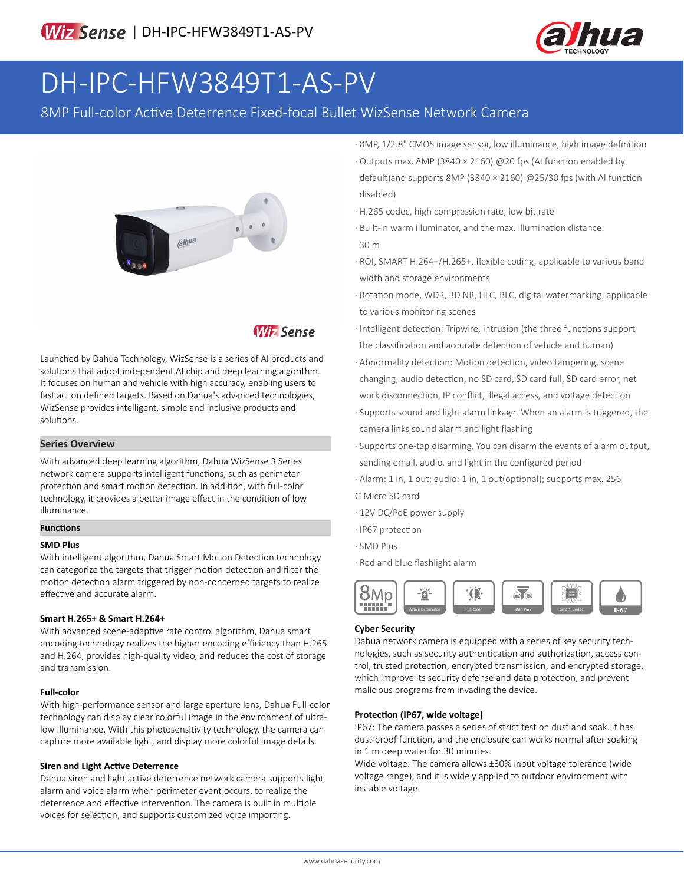

# DH-IPC-HFW3849T1-AS-PV

8MP Full-color Active Deterrence Fixed-focal Bullet WizSense Network Camera



# **Wiz Sense**

Launched by Dahua Technology, WizSense is a series of AI products and solutions that adopt independent AI chip and deep learning algorithm. It focuses on human and vehicle with high accuracy, enabling users to fast act on defined targets. Based on Dahua's advanced technologies, WizSense provides intelligent, simple and inclusive products and solutions.

#### **Series Overview**

With advanced deep learning algorithm, Dahua WizSense 3 Series network camera supports intelligent functions, such as perimeter protection and smart motion detection. In addition, with full-color technology, it provides a better image effect in the condition of low illuminance.

## **Functions**

#### **SMD Plus**

With intelligent algorithm, Dahua Smart Motion Detection technology can categorize the targets that trigger motion detection and filter the motion detection alarm triggered by non-concerned targets to realize effective and accurate alarm.

#### **Smart H.265+ & Smart H.264+**

With advanced scene-adaptive rate control algorithm, Dahua smart encoding technology realizes the higher encoding efficiency than H.265 and H.264, provides high-quality video, and reduces the cost of storage and transmission.

#### **Full-color**

With high-performance sensor and large aperture lens, Dahua Full-color technology can display clear colorful image in the environment of ultralow illuminance. With this photosensitivity technology, the camera can capture more available light, and display more colorful image details.

#### **Siren and Light Active Deterrence**

Dahua siren and light active deterrence network camera supports light alarm and voice alarm when perimeter event occurs, to realize the deterrence and effective intervention. The camera is built in multiple voices for selection, and supports customized voice importing.

- · 8MP, 1/2.8" CMOS image sensor, low illuminance, high image definition · Outputs max. 8MP (3840 × 2160) @20 fps (AI function enabled by default)and supports 8MP (3840 × 2160) @25/30 fps (with AI function disabled)
- · H.265 codec, high compression rate, low bit rate
- · Built-in warm illuminator, and the max. illumination distance: 30 m
- · ROI, SMART H.264+/H.265+, flexible coding, applicable to various band width and storage environments
- · Rotation mode, WDR, 3D NR, HLC, BLC, digital watermarking, applicable to various monitoring scenes
- · Intelligent detection: Tripwire, intrusion (the three functions support the classification and accurate detection of vehicle and human)
- · Abnormality detection: Motion detection, video tampering, scene changing, audio detection, no SD card, SD card full, SD card error, net work disconnection, IP conflict, illegal access, and voltage detection
- · Supports sound and light alarm linkage. When an alarm is triggered, the camera links sound alarm and light flashing
- · Supports one-tap disarming. You can disarm the events of alarm output, sending email, audio, and light in the configured period
- · Alarm: 1 in, 1 out; audio: 1 in, 1 out(optional); supports max. 256
- G Micro SD card
- · 12V DC/PoE power supply
- · IP67 protection
- · SMD Plus
- · Red and blue flashlight alarm



#### **Cyber Security**

Dahua network camera is equipped with a series of key security technologies, such as security authentication and authorization, access control, trusted protection, encrypted transmission, and encrypted storage, which improve its security defense and data protection, and prevent malicious programs from invading the device.

#### **Protection (IP67, wide voltage)**

IP67: The camera passes a series of strict test on dust and soak. It has dust-proof function, and the enclosure can works normal after soaking in 1 m deep water for 30 minutes.

Wide voltage: The camera allows ±30% input voltage tolerance (wide voltage range), and it is widely applied to outdoor environment with instable voltage.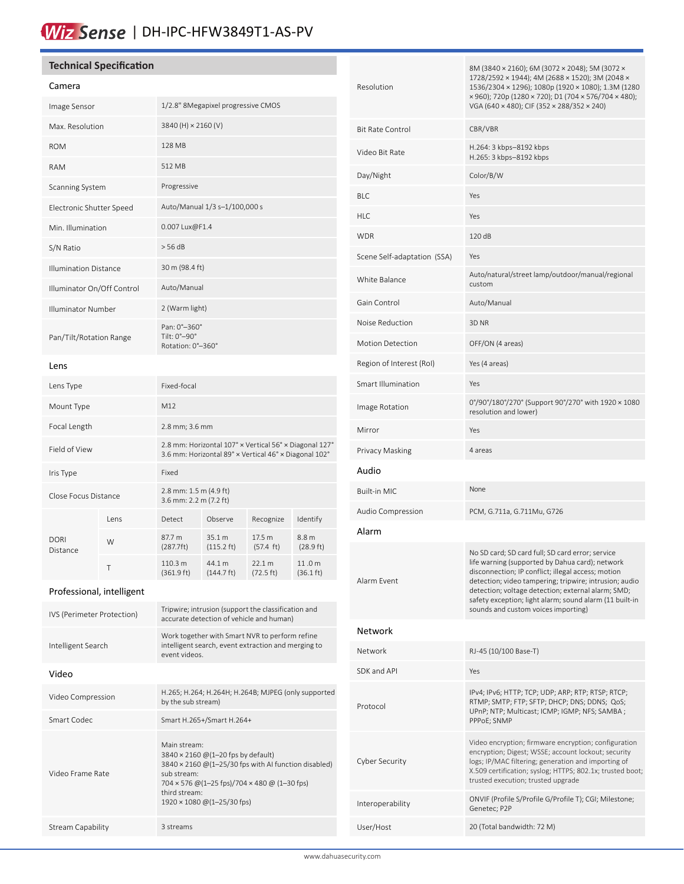# Wiz Sense | DH-IPC-HFW3849T1-AS-PV

## **Technical Specification**

### Camera

| Image Sensor                 | 1/2.8" 8Megapixel progressive CMOS                |
|------------------------------|---------------------------------------------------|
| Max. Resolution              | 3840 (H) × 2160 (V)                               |
| <b>ROM</b>                   | 128 MB                                            |
| RAM                          | 512 MB                                            |
| Scanning System              | Progressive                                       |
| Electronic Shutter Speed     | Auto/Manual 1/3 s-1/100,000 s                     |
| Min. Illumination            | 0.007 Lux@F1.4                                    |
| S/N Ratio                    | $>$ 56 dB                                         |
| <b>Illumination Distance</b> | 30 m (98.4 ft)                                    |
| Illuminator On/Off Control   | Auto/Manual                                       |
| Illuminator Number           | 2 (Warm light)                                    |
| Pan/Tilt/Rotation Range      | Pan: 0°-360°<br>Tilt: 0°-90°<br>Rotation: 0°-360° |

#### Lens

| Lens Type               |       | Fixed-focal                                                                                                     |                                |                               |                               |
|-------------------------|-------|-----------------------------------------------------------------------------------------------------------------|--------------------------------|-------------------------------|-------------------------------|
| Mount Type              |       | M12                                                                                                             |                                |                               |                               |
| Focal Length            |       | 2.8 mm; 3.6 mm                                                                                                  |                                |                               |                               |
| Field of View           |       | 2.8 mm: Horizontal 107° x Vertical 56° x Diagonal 127°<br>3.6 mm: Horizontal 89° x Vertical 46° x Diagonal 102° |                                |                               |                               |
| Iris Type               |       | Fixed                                                                                                           |                                |                               |                               |
| Close Focus Distance    |       | 2.8 mm: 1.5 m (4.9 ft)<br>3.6 mm: 2.2 m (7.2 ft)                                                                |                                |                               |                               |
|                         | I ens | Detect                                                                                                          | Observe                        | Recognize                     | Identify                      |
| <b>DORI</b><br>Distance | W     | 87.7 m<br>(287.7)                                                                                               | 35.1 m<br>$(115.2 \text{ ft})$ | 17.5 m<br>$(57.4 \text{ ft})$ | 8.8 m<br>$(28.9)$ ft)         |
|                         | Τ     | 110.3 m<br>(361.9 ft)                                                                                           | 44.1 m<br>$(144.7 \text{ ft})$ | 22.1 m<br>$(72.5 \text{ ft})$ | 11.0 m<br>$(36.1 \text{ ft})$ |

## Professional, intelligent

| IVS (Perimeter Protection) | Tripwire; intrusion (support the classification and<br>accurate detection of vehicle and human)                                                                                                                                  |
|----------------------------|----------------------------------------------------------------------------------------------------------------------------------------------------------------------------------------------------------------------------------|
| Intelligent Search         | Work together with Smart NVR to perform refine<br>intelligent search, event extraction and merging to<br>event videos.                                                                                                           |
| Video                      |                                                                                                                                                                                                                                  |
| Video Compression          | H.265; H.264; H.264H; H.264B; MJPEG (only supported<br>by the sub stream)                                                                                                                                                        |
| Smart Codec                | Smart H.265+/Smart H.264+                                                                                                                                                                                                        |
| Video Frame Rate           | Main stream:<br>3840 × 2160 @(1-20 fps by default)<br>$3840 \times 2160$ @(1-25/30 fps with AI function disabled)<br>sub stream:<br>704 x 576 @ (1-25 fps)/704 x 480 @ (1-30 fps)<br>third stream:<br>1920 × 1080 @(1-25/30 fps) |
| Stream Capability          | 3 streams                                                                                                                                                                                                                        |

| Resolution                  | 8M (3840 × 2160); 6M (3072 × 2048); 5M (3072 ×<br>1728/2592 × 1944); 4M (2688 × 1520); 3M (2048 ×<br>1536/2304 × 1296); 1080p (1920 × 1080); 1.3M (1280<br>× 960); 720p (1280 × 720); D1 (704 × 576/704 × 480);<br>VGA (640 × 480); CIF (352 × 288/352 × 240)                                                                                                               |
|-----------------------------|-----------------------------------------------------------------------------------------------------------------------------------------------------------------------------------------------------------------------------------------------------------------------------------------------------------------------------------------------------------------------------|
| <b>Bit Rate Control</b>     | CBR/VBR                                                                                                                                                                                                                                                                                                                                                                     |
| Video Bit Rate              | H.264: 3 kbps-8192 kbps<br>H.265: 3 kbps-8192 kbps                                                                                                                                                                                                                                                                                                                          |
| Day/Night                   | Color/B/W                                                                                                                                                                                                                                                                                                                                                                   |
| <b>BLC</b>                  | Yes                                                                                                                                                                                                                                                                                                                                                                         |
| <b>HLC</b>                  | Yes                                                                                                                                                                                                                                                                                                                                                                         |
| <b>WDR</b>                  | 120 dB                                                                                                                                                                                                                                                                                                                                                                      |
| Scene Self-adaptation (SSA) | Yes                                                                                                                                                                                                                                                                                                                                                                         |
| White Balance               | Auto/natural/street lamp/outdoor/manual/regional<br>custom                                                                                                                                                                                                                                                                                                                  |
| Gain Control                | Auto/Manual                                                                                                                                                                                                                                                                                                                                                                 |
| Noise Reduction             | 3D NR                                                                                                                                                                                                                                                                                                                                                                       |
| <b>Motion Detection</b>     | OFF/ON (4 areas)                                                                                                                                                                                                                                                                                                                                                            |
| Region of Interest (RoI)    | Yes (4 areas)                                                                                                                                                                                                                                                                                                                                                               |
| Smart Illumination          | Yes                                                                                                                                                                                                                                                                                                                                                                         |
| Image Rotation              | 0°/90°/180°/270° (Support 90°/270° with 1920 × 1080<br>resolution and lower)                                                                                                                                                                                                                                                                                                |
| Mirror                      | Yes                                                                                                                                                                                                                                                                                                                                                                         |
| Privacy Masking             | 4 areas                                                                                                                                                                                                                                                                                                                                                                     |
| Audio                       |                                                                                                                                                                                                                                                                                                                                                                             |
| <b>Built-in MIC</b>         | None                                                                                                                                                                                                                                                                                                                                                                        |
| Audio Compression           | PCM, G.711a, G.711Mu, G726                                                                                                                                                                                                                                                                                                                                                  |
| Alarm                       |                                                                                                                                                                                                                                                                                                                                                                             |
| Alarm Event                 | No SD card; SD card full; SD card error; service<br>life warning (supported by Dahua card); network<br>disconnection; IP conflict; illegal access; motion<br>detection; video tampering; tripwire; intrusion; audio<br>detection; voltage detection; external alarm; SMD;<br>safety exception; light alarm; sound alarm (11 built-in<br>sounds and custom voices importing) |
| <b>Network</b>              |                                                                                                                                                                                                                                                                                                                                                                             |
| Network                     | RJ-45 (10/100 Base-T)                                                                                                                                                                                                                                                                                                                                                       |
| SDK and API                 | Yes                                                                                                                                                                                                                                                                                                                                                                         |
| Protocol                    | IPv4; IPv6; HTTP; TCP; UDP; ARP; RTP; RTSP; RTCP;<br>RTMP; SMTP; FTP; SFTP; DHCP; DNS; DDNS; QoS;<br>UPnP; NTP; Multicast; ICMP; IGMP; NFS; SAMBA;<br>PPPoE; SNMP                                                                                                                                                                                                           |
| Cyber Security              | Video encryption; firmware encryption; configuration<br>encryption; Digest; WSSE; account lockout; security<br>logs; IP/MAC filtering; generation and importing of<br>X.509 certification; syslog; HTTPS; 802.1x; trusted boot;<br>trusted execution; trusted upgrade                                                                                                       |
| Interoperability            | ONVIF (Profile S/Profile G/Profile T); CGI; Milestone;<br>Genetec; P2P                                                                                                                                                                                                                                                                                                      |
| User/Host                   | 20 (Total bandwidth: 72 M)                                                                                                                                                                                                                                                                                                                                                  |